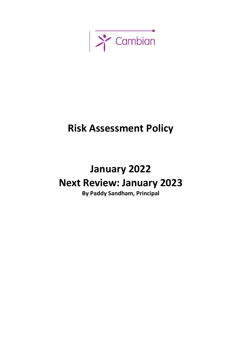

## **Risk Assessment Policy**

## **January 2022 Next Review: January 2023**

**By Paddy Sandham, Principal**